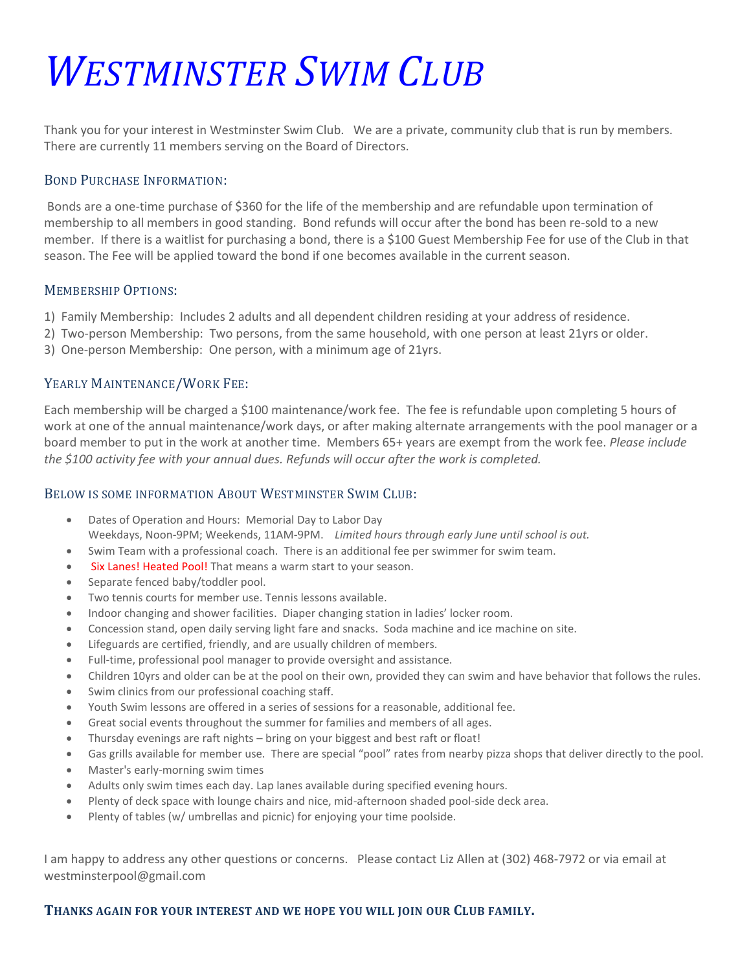# *WESTMINSTER SWIM CLUB*

Thank you for your interest in Westminster Swim Club. We are a private, community club that is run by members. There are currently 11 members serving on the Board of Directors.

## BOND PURCHASE INFORMATION:

Bonds are a one-time purchase of \$360 for the life of the membership and are refundable upon termination of membership to all members in good standing. Bond refunds will occur after the bond has been re-sold to a new member. If there is a waitlist for purchasing a bond, there is a \$100 Guest Membership Fee for use of the Club in that season. The Fee will be applied toward the bond if one becomes available in the current season.

### MEMBERSHIP OPTIONS:

- 1) Family Membership: Includes 2 adults and all dependent children residing at your address of residence.
- 2) Two-person Membership: Two persons, from the same household, with one person at least 21yrs or older.
- 3) One-person Membership: One person, with a minimum age of 21yrs.

### YEARLY MAINTENANCE/WORK FEE:

Each membership will be charged a \$100 maintenance/work fee. The fee is refundable upon completing 5 hours of work at one of the annual maintenance/work days, or after making alternate arrangements with the pool manager or a board member to put in the work at another time. Members 65+ years are exempt from the work fee. *Please include the \$100 activity fee with your annual dues. Refunds will occur after the work is completed.*

#### BELOW IS SOME INFORMATION ABOUT WESTMINSTER SWIM CLUB:

- Dates of Operation and Hours: Memorial Day to Labor Day Weekdays, Noon-9PM; Weekends, 11AM-9PM. *Limited hours through early June until school is out.*
- Swim Team with a professional coach. There is an additional fee per swimmer for swim team.
- Six Lanes! Heated Pool! That means a warm start to your season.
- Separate fenced baby/toddler pool.
- Two tennis courts for member use. Tennis lessons available.
- Indoor changing and shower facilities. Diaper changing station in ladies' locker room.
- Concession stand, open daily serving light fare and snacks. Soda machine and ice machine on site.
- Lifeguards are certified, friendly, and are usually children of members.
- Full-time, professional pool manager to provide oversight and assistance.
- Children 10yrs and older can be at the pool on their own, provided they can swim and have behavior that follows the rules.
- Swim clinics from our professional coaching staff.
- Youth Swim lessons are offered in a series of sessions for a reasonable, additional fee.
- Great social events throughout the summer for families and members of all ages.
- Thursday evenings are raft nights bring on your biggest and best raft or float!
- Gas grills available for member use. There are special "pool" rates from nearby pizza shops that deliver directly to the pool.
- Master's early-morning swim times
- Adults only swim times each day. Lap lanes available during specified evening hours.
- Plenty of deck space with lounge chairs and nice, mid-afternoon shaded pool-side deck area.
- Plenty of tables (w/ umbrellas and picnic) for enjoying your time poolside.

I am happy to address any other questions or concerns. Please contact Liz Allen at (302) 468-7972 or via email at westminsterpool@gmail.com

#### **THANKS AGAIN FOR YOUR INTEREST AND WE HOPE YOU WILL JOIN OUR CLUB FAMILY.**